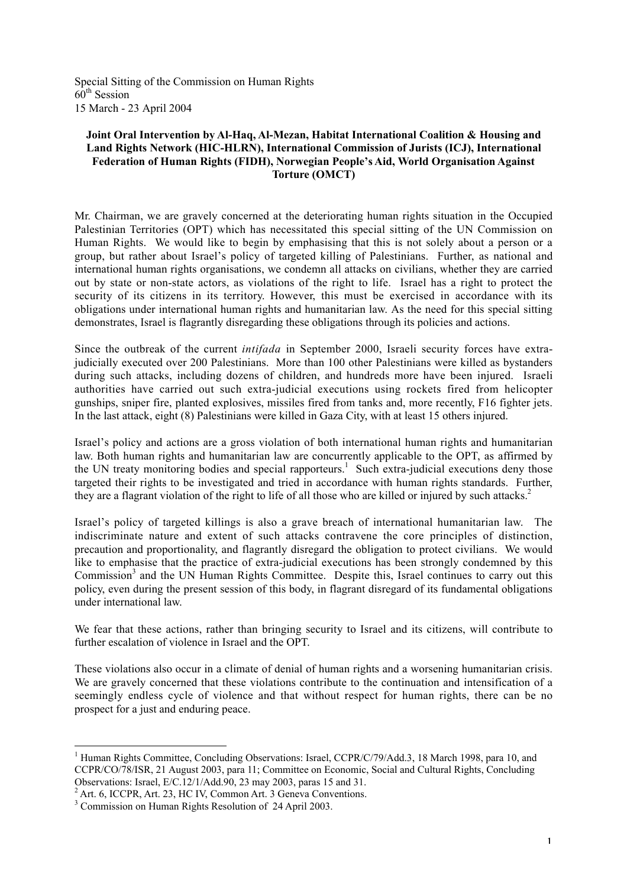Special Sitting of the Commission on Human Rights  $60^{\text{th}}$  Session 15 March - 23 April 2004

## **Joint Oral Intervention by Al-Haq, Al-Mezan, Habitat International Coalition & Housing and Land Rights Network (HIC-HLRN), International Commission of Jurists (ICJ), International Federation of Human Rights (FIDH), Norwegian People's Aid, World Organisation Against Torture (OMCT)**

Mr. Chairman, we are gravely concerned at the deteriorating human rights situation in the Occupied Palestinian Territories (OPT) which has necessitated this special sitting of the UN Commission on Human Rights. We would like to begin by emphasising that this is not solely about a person or a group, but rather about Israel's policy of targeted killing of Palestinians. Further, as national and international human rights organisations, we condemn all attacks on civilians, whether they are carried out by state or non-state actors, as violations of the right to life. Israel has a right to protect the security of its citizens in its territory. However, this must be exercised in accordance with its obligations under international human rights and humanitarian law. As the need for this special sitting demonstrates, Israel is flagrantly disregarding these obligations through its policies and actions.

Since the outbreak of the current *intifada* in September 2000, Israeli security forces have extrajudicially executed over 200 Palestinians. More than 100 other Palestinians were killed as bystanders during such attacks, including dozens of children, and hundreds more have been injured. Israeli authorities have carried out such extra-judicial executions using rockets fired from helicopter gunships, sniper fire, planted explosives, missiles fired from tanks and, more recently, F16 fighter jets. In the last attack, eight (8) Palestinians were killed in Gaza City, with at least 15 others injured.

Israel's policy and actions are a gross violation of both international human rights and humanitarian law. Both human rights and humanitarian law are concurrently applicable to the OPT, as affirmed by the UN treaty monitoring bodies and special rapporteurs.<sup>1</sup> Such extra-judicial executions deny those targeted their rights to be investigated and tried in accordance with human rights standards. Further, they are a flagrant violation of the right to life of all those who are killed or injured by such attacks.<sup>2</sup>

Israel's policy of targeted killings is also a grave breach of international humanitarian law. The indiscriminate nature and extent of such attacks contravene the core principles of distinction, precaution and proportionality, and flagrantly disregard the obligation to protect civilians. We would like to emphasise that the practice of extra-judicial executions has been strongly condemned by this Commission<sup>3</sup> and the UN Human Rights Committee. Despite this, Israel continues to carry out this policy, even during the present session of this body, in flagrant disregard of its fundamental obligations under international law.

We fear that these actions, rather than bringing security to Israel and its citizens, will contribute to further escalation of violence in Israel and the OPT.

These violations also occur in a climate of denial of human rights and a worsening humanitarian crisis. We are gravely concerned that these violations contribute to the continuation and intensification of a seemingly endless cycle of violence and that without respect for human rights, there can be no prospect for a just and enduring peace.

 $\frac{1}{1}$ <sup>1</sup> Human Rights Committee, Concluding Observations: Israel, CCPR/C/79/Add.3, 18 March 1998, para 10, and CCPR/CO/78/ISR, 21 August 2003, para 11; Committee on Economic, Social and Cultural Rights, Concluding Observations: Israel, E/C.12/1/Add.90, 23 may 2003, paras 15 and 31.

 $2^2$  Art. 6, ICCPR, Art. 23, HC IV, Common Art. 3 Geneva Conventions.

<sup>&</sup>lt;sup>3</sup> Commission on Human Rights Resolution of 24 April 2003.